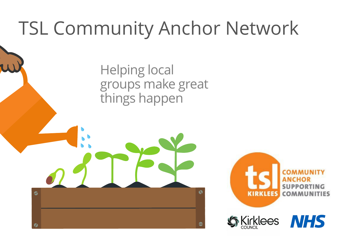## TSL Community Anchor Network

Helping local groups make great things happen

8





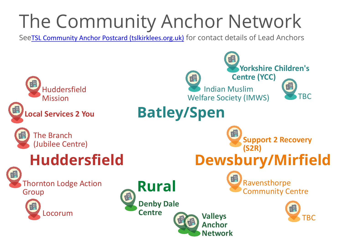



# The Community Anchor Network

See[TSL Community Anchor Postcard \(tslkirklees.org.uk\)](https://tslkirklees.org.uk/wp-content/uploads/2021/12/TSL-Community-Anchor-Postcard.pdf) for contact details of Lead Anchors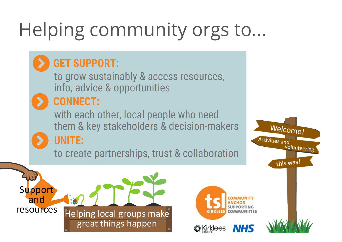# Helping community orgs to...

### **GET SUPPORT:**

to grow sustainably & access resources, info, advice & opportunities

### **CONNECT:**

with each other, local people who need them & key stakeholders & decision-makers

### **UNITE:**

to create partnerships, trust & collaboration





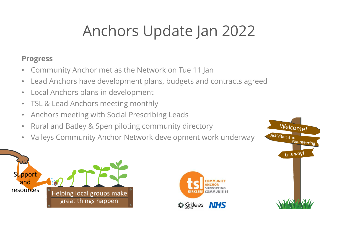## Anchors Update Jan 2022







### **Progress**

- Community Anchor met as the Network on Tue 11 Jan
- Lead Anchors have development plans, budgets and contracts agreed
- Local Anchors plans in development
- TSL & Lead Anchors meeting monthly
- Anchors meeting with Social Prescribing Leads
- Rural and Batley & Spen piloting community directory
- Valleys Community Anchor Network development work underway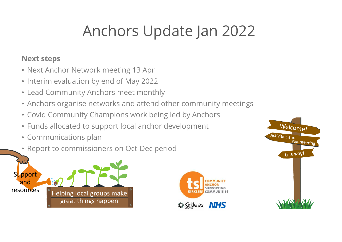## Anchors Update Jan 2022







### **Next steps**

- Next Anchor Network meeting 13 Apr
- Interim evaluation by end of May 2022
- Lead Community Anchors meet monthly
- Anchors organise networks and attend other community meetings
- Covid Community Champions work being led by Anchors
- Funds allocated to support local anchor development
- Communications plan
- Report to commissioners on Oct-Dec period